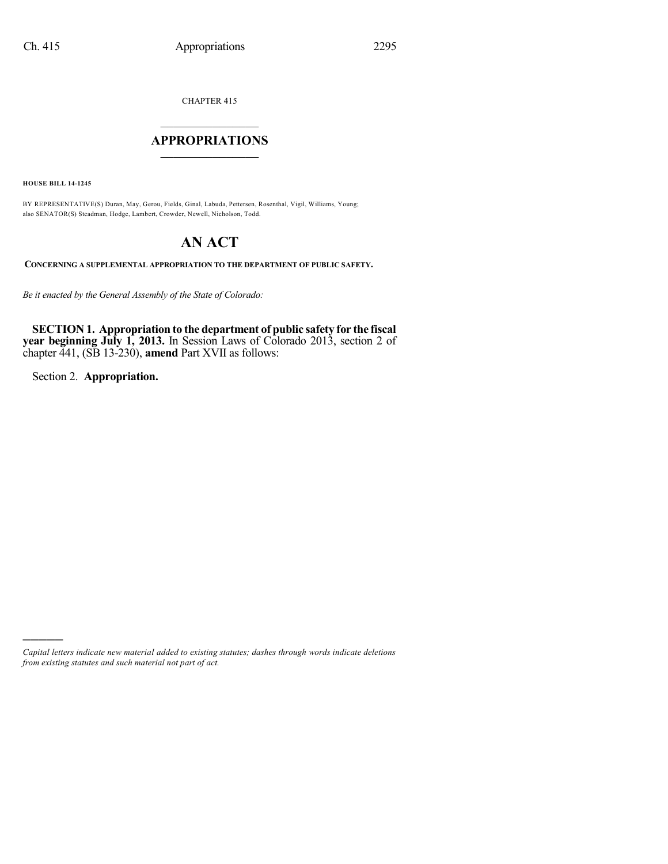CHAPTER 415

# $\mathcal{L}_\text{max}$  . The set of the set of the set of the set of the set of the set of the set of the set of the set of the set of the set of the set of the set of the set of the set of the set of the set of the set of the set **APPROPRIATIONS**  $\_$   $\_$   $\_$   $\_$   $\_$   $\_$   $\_$   $\_$

**HOUSE BILL 14-1245**

BY REPRESENTATIVE(S) Duran, May, Gerou, Fields, Ginal, Labuda, Pettersen, Rosenthal, Vigil, Williams, Young; also SENATOR(S) Steadman, Hodge, Lambert, Crowder, Newell, Nicholson, Todd.

# **AN ACT**

**CONCERNING A SUPPLEMENTAL APPROPRIATION TO THE DEPARTMENT OF PUBLIC SAFETY.**

*Be it enacted by the General Assembly of the State of Colorado:*

**SECTION 1. Appropriation to the department of public safety for the fiscal year beginning July 1, 2013.** In Session Laws of Colorado 2013, section 2 of chapter 441, (SB 13-230), **amend** Part XVII as follows:

Section 2. **Appropriation.**

)))))

*Capital letters indicate new material added to existing statutes; dashes through words indicate deletions from existing statutes and such material not part of act.*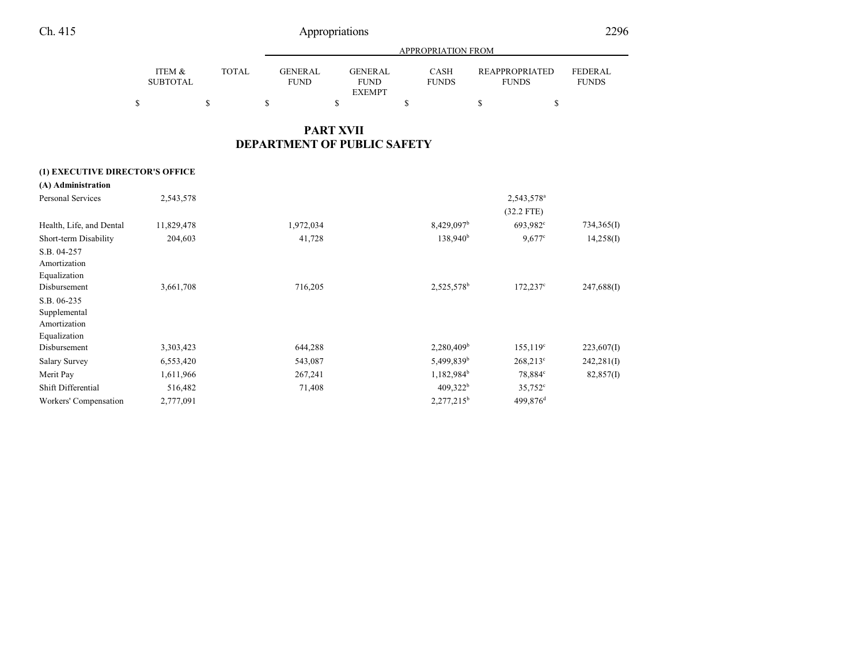|                                      |        |                               | APPROPRIATION FROM            |                             |                                       |                                |  |  |  |  |  |
|--------------------------------------|--------|-------------------------------|-------------------------------|-----------------------------|---------------------------------------|--------------------------------|--|--|--|--|--|
| <b>ITEM &amp;</b><br><b>SUBTOTAL</b> | TOTAL. | <b>GENERAL</b><br><b>FUND</b> | <b>GENERAL</b><br><b>FUND</b> | <b>CASH</b><br><b>FUNDS</b> | <b>REAPPROPRIATED</b><br><b>FUNDS</b> | <b>FEDERAL</b><br><b>FUNDS</b> |  |  |  |  |  |
|                                      |        |                               | <b>EXEMPT</b>                 |                             |                                       |                                |  |  |  |  |  |
|                                      |        |                               |                               |                             |                                       |                                |  |  |  |  |  |

## **PART XVII DEPARTMENT OF PUBLIC SAFETY**

## **(1) EXECUTIVE DIRECTOR'S OFFICE**

| (A) Administration       |            |           |                        |                        |            |
|--------------------------|------------|-----------|------------------------|------------------------|------------|
| <b>Personal Services</b> | 2,543,578  |           |                        | 2,543,578 <sup>a</sup> |            |
|                          |            |           |                        | $(32.2$ FTE)           |            |
| Health, Life, and Dental | 11,829,478 | 1,972,034 | 8,429,097 <sup>b</sup> | 693,982 <sup>c</sup>   | 734,365(I) |
| Short-term Disability    | 204,603    | 41,728    | 138,940 <sup>b</sup>   | $9,677^{\circ}$        | 14,258(I)  |
| S.B. 04-257              |            |           |                        |                        |            |
| Amortization             |            |           |                        |                        |            |
| Equalization             |            |           |                        |                        |            |
| Disbursement             | 3,661,708  | 716,205   | 2,525,578 <sup>b</sup> | $172,237^{\circ}$      | 247,688(I) |
| S.B. 06-235              |            |           |                        |                        |            |
| Supplemental             |            |           |                        |                        |            |
| Amortization             |            |           |                        |                        |            |
| Equalization             |            |           |                        |                        |            |
| Disbursement             | 3,303,423  | 644,288   | 2,280,409 <sup>b</sup> | 155,119°               | 223,607(I) |
| <b>Salary Survey</b>     | 6,553,420  | 543,087   | 5,499,839 <sup>b</sup> | $268,213^{\circ}$      | 242,281(I) |
| Merit Pay                | 1,611,966  | 267,241   | $1,182,984^b$          | 78,884°                | 82,857(I)  |
| Shift Differential       | 516,482    | 71,408    | $409,322^b$            | $35,752^{\circ}$       |            |
| Workers' Compensation    | 2,777,091  |           | $2,277,215^b$          | 499,876 <sup>d</sup>   |            |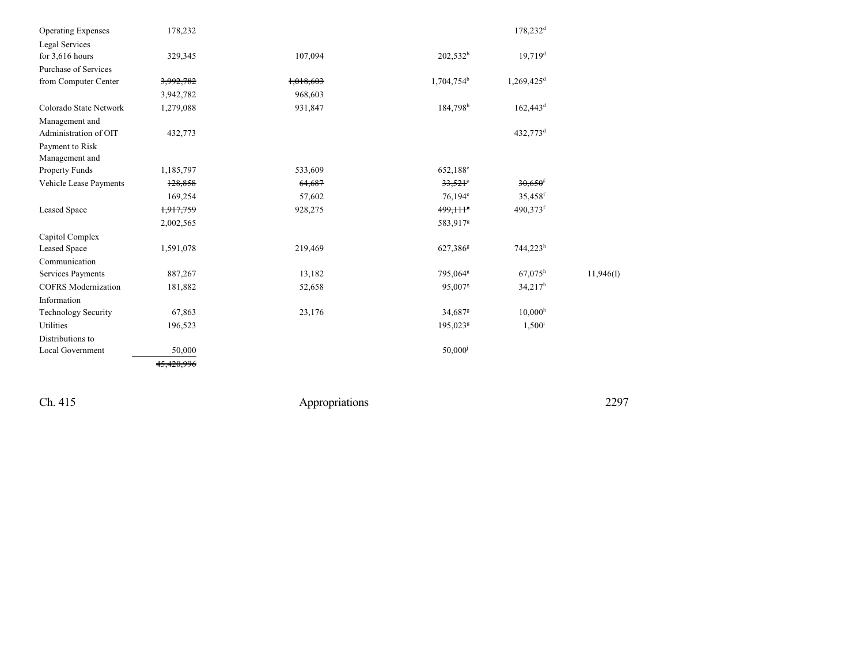| <b>Operating Expenses</b>  | 178,232    |           |                        | 178,232 <sup>d</sup>     |           |
|----------------------------|------------|-----------|------------------------|--------------------------|-----------|
| Legal Services             |            |           |                        |                          |           |
| for $3,616$ hours          | 329,345    | 107,094   | $202,532^b$            | $19,719$ <sup>d</sup>    |           |
| Purchase of Services       |            |           |                        |                          |           |
| from Computer Center       | 3,992,782  | 1,018,603 | 1,704,754 <sup>b</sup> | $1,269,425$ <sup>d</sup> |           |
|                            | 3,942,782  | 968,603   |                        |                          |           |
| Colorado State Network     | 1,279,088  | 931,847   | 184,798 <sup>b</sup>   | $162,443$ <sup>d</sup>   |           |
| Management and             |            |           |                        |                          |           |
| Administration of OIT      | 432,773    |           |                        | 432,773 <sup>d</sup>     |           |
| Payment to Risk            |            |           |                        |                          |           |
| Management and             |            |           |                        |                          |           |
| Property Funds             | 1,185,797  | 533,609   | 652,188 <sup>e</sup>   |                          |           |
| Vehicle Lease Payments     | 128,858    | 64,687    | $33,521$ <sup>e</sup>  | $30,650$ <sup>f</sup>    |           |
|                            | 169,254    | 57,602    | $76,194^e$             | 35,458 <sup>f</sup>      |           |
| Leased Space               | 1,917,759  | 928,275   | 499,1115               | $490,373$ <sup>f</sup>   |           |
|                            | 2,002,565  |           | 583,917g               |                          |           |
| Capitol Complex            |            |           |                        |                          |           |
| Leased Space               | 1,591,078  | 219,469   | 627,386 <sup>g</sup>   | 744,223h                 |           |
| Communication              |            |           |                        |                          |           |
| Services Payments          | 887,267    | 13,182    | 795,064 <sup>g</sup>   | $67,075^h$               | 11,946(I) |
| <b>COFRS</b> Modernization | 181,882    | 52,658    | 95,007 <sup>g</sup>    | $34,217^h$               |           |
| Information                |            |           |                        |                          |           |
| <b>Technology Security</b> | 67,863     | 23,176    | 34,687 <sup>g</sup>    | 10,000 <sup>h</sup>      |           |
| Utilities                  | 196,523    |           | 195,023 <sup>g</sup>   | $1,500^{\rm i}$          |           |
| Distributions to           |            |           |                        |                          |           |
| Local Government           | 50,000     |           | $50,000$ <sup>j</sup>  |                          |           |
|                            | 45.420.996 |           |                        |                          |           |

Ch. 415

Appropriations

2297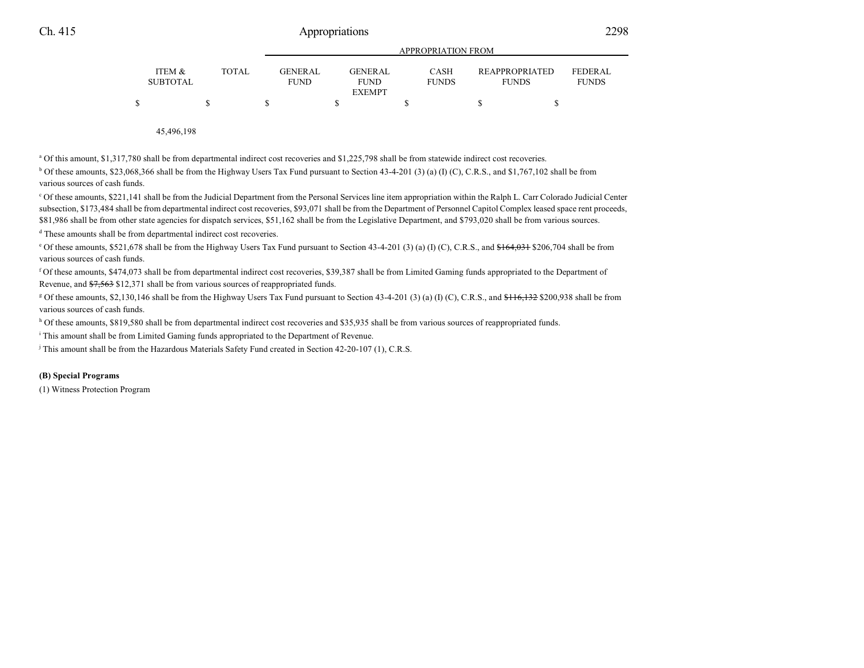|                           |              |                               | APPROPRIATION FROM     |                             |                                       |                         |  |  |
|---------------------------|--------------|-------------------------------|------------------------|-----------------------------|---------------------------------------|-------------------------|--|--|
| ITEM &<br><b>SUBTOTAL</b> | <b>TOTAL</b> | <b>GENERAL</b><br><b>FUND</b> | GENERAL<br><b>FUND</b> | <b>CASH</b><br><b>FUNDS</b> | <b>REAPPROPRIATED</b><br><b>FUNDS</b> | FEDERAL<br><b>FUNDS</b> |  |  |
|                           |              |                               | <b>EXEMPT</b>          |                             |                                       |                         |  |  |
|                           |              |                               |                        |                             |                                       |                         |  |  |

APPROPRIATION FROM

45,496,198

<sup>a</sup> Of this amount, \$1,317,780 shall be from departmental indirect cost recoveries and \$1,225,798 shall be from statewide indirect cost recoveries.

<sup>b</sup> Of these amounts, \$23,068,366 shall be from the Highway Users Tax Fund pursuant to Section 43-4-201 (3) (a) (I) (C), C.R.S., and \$1,767,102 shall be from various sources of cash funds.

<sup>c</sup> Of these amounts, \$221,141 shall be from the Judicial Department from the Personal Services line item appropriation within the Ralph L. Carr Colorado Judicial Center subsection, \$173,484 shall be from departmental indirect cost recoveries, \$93,071 shall be from the Department of Personnel Capitol Complex leased space rent proceeds, \$81,986 shall be from other state agencies for dispatch services, \$51,162 shall be from the Legislative Department, and \$793,020 shall be from various sources.

<sup>d</sup> These amounts shall be from departmental indirect cost recoveries.

<sup>o</sup> Of these amounts, \$521,678 shall be from the Highway Users Tax Fund pursuant to Section 43-4-201 (3) (a) (I) (C), C.R.S., and <del>\$164,031</del> \$206,704 shall be from various sources of cash funds.

f Of these amounts, \$474,073 shall be from departmental indirect cost recoveries, \$39,387 shall be from Limited Gaming funds appropriated to the Department of Revenue, and \$7,563 \$12,371 shall be from various sources of reappropriated funds.

<sup>g</sup> Of these amounts, \$2,130,146 shall be from the Highway Users Tax Fund pursuant to Section 43-4-201 (3) (a) (I) (C), C.R.S., and <del>\$116,132</del> \$200,938 shall be from various sources of cash funds.

<sup>h</sup> Of these amounts, \$819,580 shall be from departmental indirect cost recoveries and \$35,935 shall be from various sources of reappropriated funds.

<sup>i</sup> This amount shall be from Limited Gaming funds appropriated to the Department of Revenue.

j This amount shall be from the Hazardous Materials Safety Fund created in Section 42-20-107 (1), C.R.S.

### **(B) Special Programs**

(1) Witness Protection Program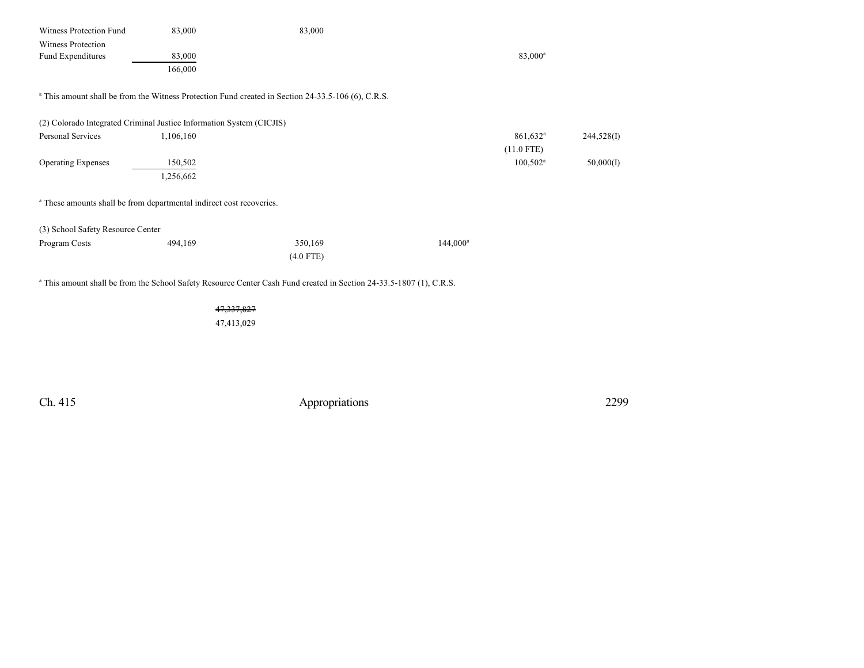| Witness Protection Fund                                                         | 83,000       | 83,000                                                                                                                         |                        |            |
|---------------------------------------------------------------------------------|--------------|--------------------------------------------------------------------------------------------------------------------------------|------------------------|------------|
| <b>Witness Protection</b>                                                       |              |                                                                                                                                |                        |            |
| Fund Expenditures                                                               | 83,000       |                                                                                                                                | 83,000 <sup>a</sup>    |            |
|                                                                                 | 166,000      |                                                                                                                                |                        |            |
|                                                                                 |              | <sup>a</sup> This amount shall be from the Witness Protection Fund created in Section 24-33.5-106 (6), C.R.S.                  |                        |            |
| (2) Colorado Integrated Criminal Justice Information System (CICJIS)            |              |                                                                                                                                |                        |            |
| Personal Services                                                               | 1,106,160    |                                                                                                                                | $861,632$ <sup>a</sup> | 244,528(I) |
|                                                                                 |              |                                                                                                                                | $(11.0$ FTE)           |            |
| <b>Operating Expenses</b>                                                       | 150,502      |                                                                                                                                | $100,502^{\rm a}$      | 50,000(I)  |
|                                                                                 | 1,256,662    |                                                                                                                                |                        |            |
| <sup>a</sup> These amounts shall be from departmental indirect cost recoveries. |              |                                                                                                                                |                        |            |
| (3) School Safety Resource Center                                               |              |                                                                                                                                |                        |            |
| Program Costs                                                                   | 494,169      | 350,169                                                                                                                        | $144,000^{\rm a}$      |            |
|                                                                                 |              | $(4.0$ FTE)                                                                                                                    |                        |            |
|                                                                                 |              | <sup>a</sup> This amount shall be from the School Safety Resource Center Cash Fund created in Section 24-33.5-1807 (1), C.R.S. |                        |            |
|                                                                                 | 47, 337, 827 |                                                                                                                                |                        |            |
|                                                                                 | 47,413,029   |                                                                                                                                |                        |            |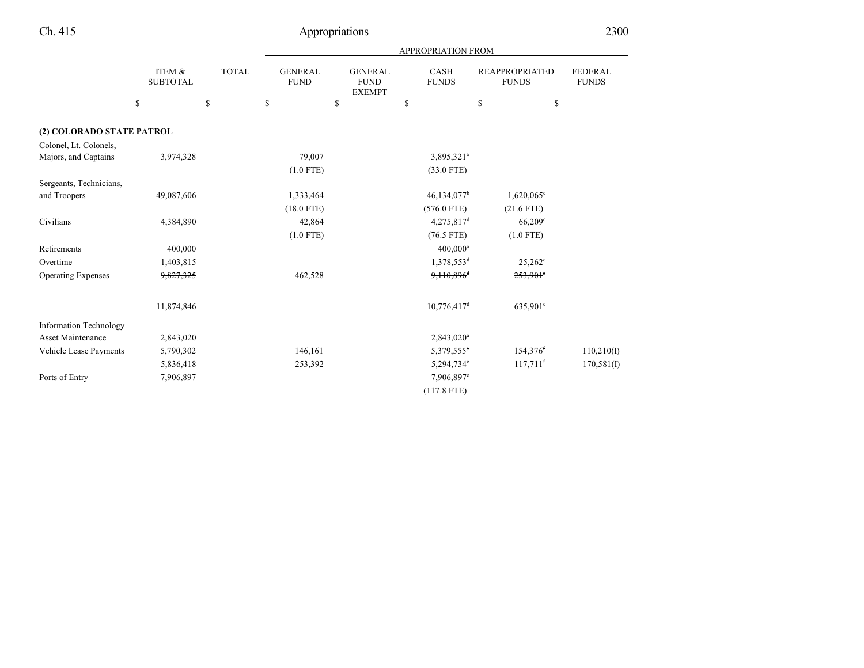|                               |                           |              | APPROPRIATION FROM            |                                                |                             |                                       |                                |  |
|-------------------------------|---------------------------|--------------|-------------------------------|------------------------------------------------|-----------------------------|---------------------------------------|--------------------------------|--|
|                               | ITEM &<br><b>SUBTOTAL</b> | <b>TOTAL</b> | <b>GENERAL</b><br><b>FUND</b> | <b>GENERAL</b><br><b>FUND</b><br><b>EXEMPT</b> | <b>CASH</b><br><b>FUNDS</b> | <b>REAPPROPRIATED</b><br><b>FUNDS</b> | <b>FEDERAL</b><br><b>FUNDS</b> |  |
|                               | \$                        | \$           | \$                            | \$                                             | \$                          | \$<br>\$                              |                                |  |
| (2) COLORADO STATE PATROL     |                           |              |                               |                                                |                             |                                       |                                |  |
| Colonel, Lt. Colonels,        |                           |              |                               |                                                |                             |                                       |                                |  |
| Majors, and Captains          | 3,974,328                 |              | 79,007                        |                                                | 3,895,321 <sup>a</sup>      |                                       |                                |  |
|                               |                           |              | $(1.0$ FTE)                   |                                                | $(33.0$ FTE)                |                                       |                                |  |
| Sergeants, Technicians,       |                           |              |                               |                                                |                             |                                       |                                |  |
| and Troopers                  | 49,087,606                |              | 1,333,464                     |                                                | 46,134,077 <sup>b</sup>     | $1,620,065^{\circ}$                   |                                |  |
|                               |                           |              | $(18.0$ FTE)                  |                                                | $(576.0$ FTE)               | $(21.6$ FTE)                          |                                |  |
| Civilians                     | 4,384,890                 |              | 42,864                        |                                                | $4,275,817$ <sup>d</sup>    | $66,209$ <sup>c</sup>                 |                                |  |
|                               |                           |              | $(1.0$ FTE)                   |                                                | $(76.5$ FTE)                | $(1.0$ FTE)                           |                                |  |
| Retirements                   | 400,000                   |              |                               |                                                | $400,000^a$                 |                                       |                                |  |
| Overtime                      | 1,403,815                 |              |                               |                                                | 1,378,553 <sup>d</sup>      | $25,262^{\circ}$                      |                                |  |
| <b>Operating Expenses</b>     | 9,827,325                 |              | 462,528                       |                                                | 9,110,896 <sup>d</sup>      | $253,901$ °                           |                                |  |
|                               | 11,874,846                |              |                               |                                                | $10,776,417$ <sup>d</sup>   | 635,901 <sup>c</sup>                  |                                |  |
| <b>Information Technology</b> |                           |              |                               |                                                |                             |                                       |                                |  |
| Asset Maintenance             | 2,843,020                 |              |                               |                                                | 2,843,020 <sup>a</sup>      |                                       |                                |  |
| Vehicle Lease Payments        | 5,790,302                 |              | 146,161                       |                                                | 5,379,555°                  | 154,376                               | 110,210(f)                     |  |
|                               | 5,836,418                 |              | 253,392                       |                                                | 5,294,734°                  | $117,711$ <sup>f</sup>                | 170,581(I)                     |  |
| Ports of Entry                | 7,906,897                 |              |                               |                                                | 7,906,897 <sup>e</sup>      |                                       |                                |  |
|                               |                           |              |                               |                                                | $(117.8$ FTE)               |                                       |                                |  |

e de la provincia de la provincia de la provincia de la provincia de la provincia de la provincia de la provincia de la provincia de la provincia de la provincia de la provincia de la provincia de la provincia de la provin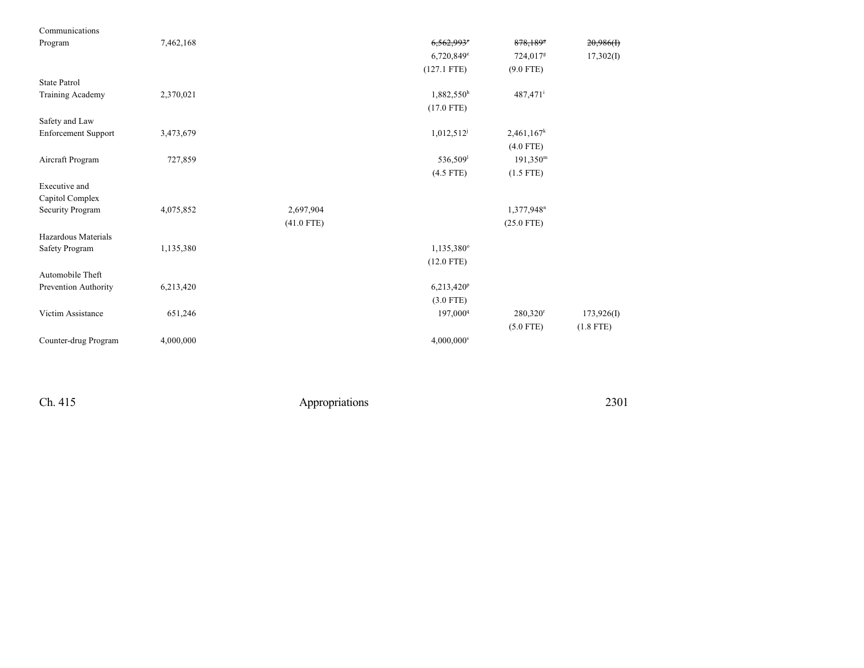| Communications             |           |              |                          |                        |             |
|----------------------------|-----------|--------------|--------------------------|------------------------|-------------|
| Program                    | 7,462,168 |              | 6,562,993°               | 878,1898               | 20,986(f)   |
|                            |           |              | $6,720,849$ <sup>e</sup> | 724,017 <sup>g</sup>   | 17,302(I)   |
|                            |           |              | $(127.1$ FTE)            | $(9.0$ FTE)            |             |
| <b>State Patrol</b>        |           |              |                          |                        |             |
| Training Academy           | 2,370,021 |              | 1,882,550h               | 487,471 <sup>i</sup>   |             |
|                            |           |              | $(17.0$ FTE)             |                        |             |
| Safety and Law             |           |              |                          |                        |             |
| <b>Enforcement Support</b> | 3,473,679 |              | $1,012,512^j$            | $2,461,167^k$          |             |
|                            |           |              |                          | $(4.0$ FTE)            |             |
| Aircraft Program           | 727,859   |              | 536,509 <sup>1</sup>     | $191,350^{\rm m}$      |             |
|                            |           |              | $(4.5$ FTE)              | $(1.5$ FTE)            |             |
| Executive and              |           |              |                          |                        |             |
| Capitol Complex            |           |              |                          |                        |             |
| Security Program           | 4,075,852 | 2,697,904    |                          | 1,377,948 <sup>n</sup> |             |
|                            |           | $(41.0$ FTE) |                          | $(25.0$ FTE)           |             |
| Hazardous Materials        |           |              |                          |                        |             |
| Safety Program             | 1,135,380 |              | 1,135,380°               |                        |             |
|                            |           |              | $(12.0$ FTE)             |                        |             |
| Automobile Theft           |           |              |                          |                        |             |
| Prevention Authority       | 6,213,420 |              | 6,213,420 <sup>p</sup>   |                        |             |
|                            |           |              | $(3.0$ FTE)              |                        |             |
| Victim Assistance          | 651,246   |              | 197,000 <sup>q</sup>     | 280,320 <sup>r</sup>   | 173,926(I)  |
|                            |           |              |                          | $(5.0$ FTE)            | $(1.8$ FTE) |
| Counter-drug Program       | 4,000,000 |              | $4,000,000$ <sup>s</sup> |                        |             |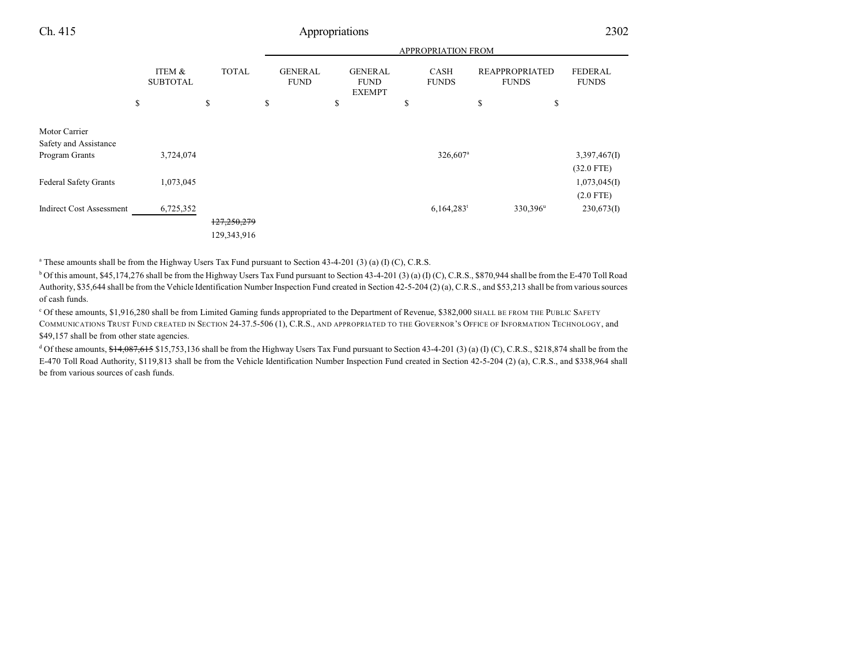| × |  |
|---|--|
|   |  |

|                                                          |                           |              |                               | APPROPRIATION FROM                             |                             |                                       |                                |  |  |
|----------------------------------------------------------|---------------------------|--------------|-------------------------------|------------------------------------------------|-----------------------------|---------------------------------------|--------------------------------|--|--|
|                                                          | ITEM &<br><b>SUBTOTAL</b> | <b>TOTAL</b> | <b>GENERAL</b><br><b>FUND</b> | <b>GENERAL</b><br><b>FUND</b><br><b>EXEMPT</b> | <b>CASH</b><br><b>FUNDS</b> | <b>REAPPROPRIATED</b><br><b>FUNDS</b> | <b>FEDERAL</b><br><b>FUNDS</b> |  |  |
|                                                          | \$                        | \$           | \$                            | \$                                             | \$                          | \$<br>\$                              |                                |  |  |
| Motor Carrier<br>Safety and Assistance<br>Program Grants | 3,724,074                 |              |                               |                                                | 326,607 <sup>a</sup>        |                                       | 3,397,467(I)                   |  |  |
| <b>Federal Safety Grants</b>                             | 1,073,045                 |              |                               |                                                |                             |                                       | $(32.0$ FTE)<br>1,073,045(I)   |  |  |
| <b>Indirect Cost Assessment</b>                          | 6,725,352                 | 127,250,279  |                               |                                                | $6,164,283$ <sup>t</sup>    | 330,396 <sup>u</sup>                  | $(2.0$ FTE)<br>230,673(I)      |  |  |
|                                                          |                           | 129,343,916  |                               |                                                |                             |                                       |                                |  |  |

a These amounts shall be from the Highway Users Tax Fund pursuant to Section 43-4-201 (3) (a) (I) (C), C.R.S.

 $b$  Of this amount, \$45,174,276 shall be from the Highway Users Tax Fund pursuant to Section 43-4-201 (3) (a) (I) (C), C.R.S., \$870,944 shall be from the E-470 Toll Road Authority, \$35,644 shall be from the Vehicle Identification Number Inspection Fund created in Section 42-5-204 (2) (a), C.R.S., and \$53,213 shall be from various sources of cash funds.

<sup>c</sup> Of these amounts, \$1,916,280 shall be from Limited Gaming funds appropriated to the Department of Revenue, \$382,000 SHALL BE FROM THE PUBLIC SAFETY COMMUNICATIONS TRUST FUND CREATED IN SECTION 24-37.5-506 (1), C.R.S., AND APPROPRIATED TO THE GOVERNOR'S OFFICE OF INFORMATION TECHNOLOGY, and \$49,157 shall be from other state agencies.

 $d$  Of these amounts,  $f_14,087,615$  \$15,753,136 shall be from the Highway Users Tax Fund pursuant to Section 43-4-201 (3) (a) (I) (C), C.R.S., \$218,874 shall be from the E-470 Toll Road Authority, \$119,813 shall be from the Vehicle Identification Number Inspection Fund created in Section 42-5-204 (2) (a), C.R.S., and \$338,964 shall be from various sources of cash funds.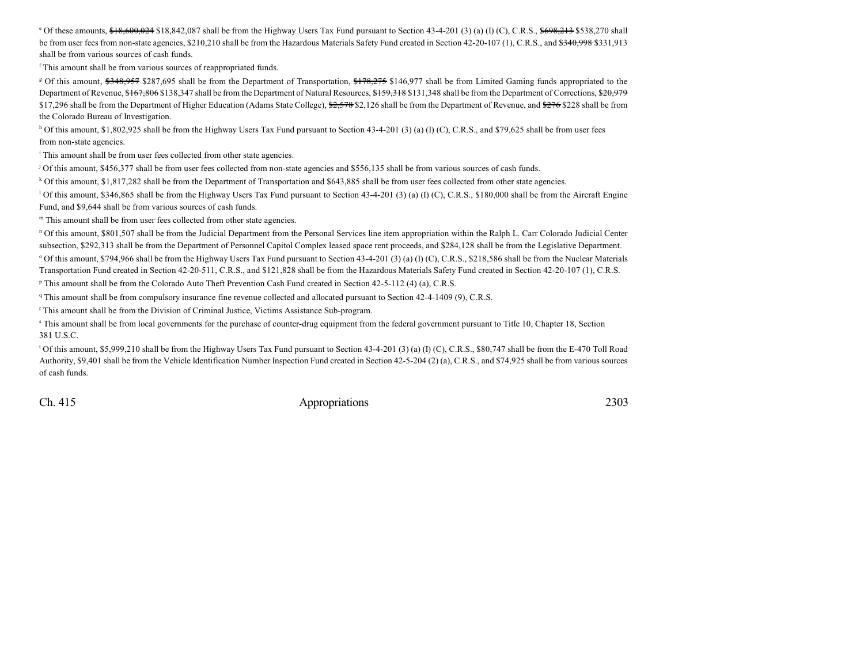<sup>e</sup> Of these amounts, \$18,600,024 \$18,842,087 shall be from the Highway Users Tax Fund pursuant to Section 43-4-201 (3) (a) (I) (C), C.R.S., \$698,213 \$538,270 shall be from user fees from non-state agencies, \$210,210 shall be from the Hazardous Materials Safety Fund created in Section 42-20-107 (1), C.R.S., and \$340,998 \$331,913 shall be from various sources of cash funds.

f This amount shall be from various sources of reappropriated funds.

<sup>g</sup> Of this amount, \$348,957 \$287,695 shall be from the Department of Transportation, \$178,275 \$146,977 shall be from Limited Gaming funds appropriated to the Department of Revenue, \$167,806 \$138,347 shall be from the Department of Natural Resources, \$159,318 \$131,348 shall be from the Department of Corrections, \$20,979 \$17,296 shall be from the Department of Higher Education (Adams State College), \$2,578 \$2,126 shall be from the Department of Revenue, and \$276 \$228 shall be from the Colorado Bureau of Investigation.

 $h$  Of this amount, \$1,802,925 shall be from the Highway Users Tax Fund pursuant to Section 43-4-201 (3) (a) (I) (C), C.R.S., and \$79,625 shall be from user fees from non-state agencies.

<sup>i</sup> This amount shall be from user fees collected from other state agencies.

j Of this amount, \$456,377 shall be from user fees collected from non-state agencies and \$556,135 shall be from various sources of cash funds.

<sup>k</sup> Of this amount, \$1,817,282 shall be from the Department of Transportation and \$643,885 shall be from user fees collected from other state agencies.

<sup>1</sup> Of this amount, \$346,865 shall be from the Highway Users Tax Fund pursuant to Section 43-4-201 (3) (a) (I) (C), C.R.S., \$180,000 shall be from the Aircraft Engine Fund, and \$9,644 shall be from various sources of cash funds.

m This amount shall be from user fees collected from other state agencies.

<sup>n</sup> Of this amount, \$801,507 shall be from the Judicial Department from the Personal Services line item appropriation within the Ralph L. Carr Colorado Judicial Center subsection, \$292,313 shall be from the Department of Personnel Capitol Complex leased space rent proceeds, and \$284,128 shall be from the Legislative Department.  $^{\circ}$  Of this amount, \$794,966 shall be from the Highway Users Tax Fund pursuant to Section 43-4-201 (3) (a) (I) (C), C.R.S., \$218,586 shall be from the Nuclear Materials Transportation Fund created in Section 42-20-511, C.R.S., and \$121,828 shall be from the Hazardous Materials Safety Fund created in Section 42-20-107 (1), C.R.S.

<sup>p</sup> This amount shall be from the Colorado Auto Theft Prevention Cash Fund created in Section 42-5-112 (4) (a), C.R.S.

<sup>q</sup> This amount shall be from compulsory insurance fine revenue collected and allocated pursuant to Section 42-4-1409 (9), C.R.S.

r This amount shall be from the Division of Criminal Justice, Victims Assistance Sub-program.

s This amount shall be from local governments for the purchase of counter-drug equipment from the federal government pursuant to Title 10, Chapter 18, Section 381 U.S.C.

t Of this amount, \$5,999,210 shall be from the Highway Users Tax Fund pursuant to Section 43-4-201 (3) (a) (I) (C), C.R.S., \$80,747 shall be from the E-470 Toll Road Authority, \$9,401 shall be from the Vehicle Identification Number Inspection Fund created in Section 42-5-204 (2) (a), C.R.S., and \$74,925 shall be from various sources of cash funds.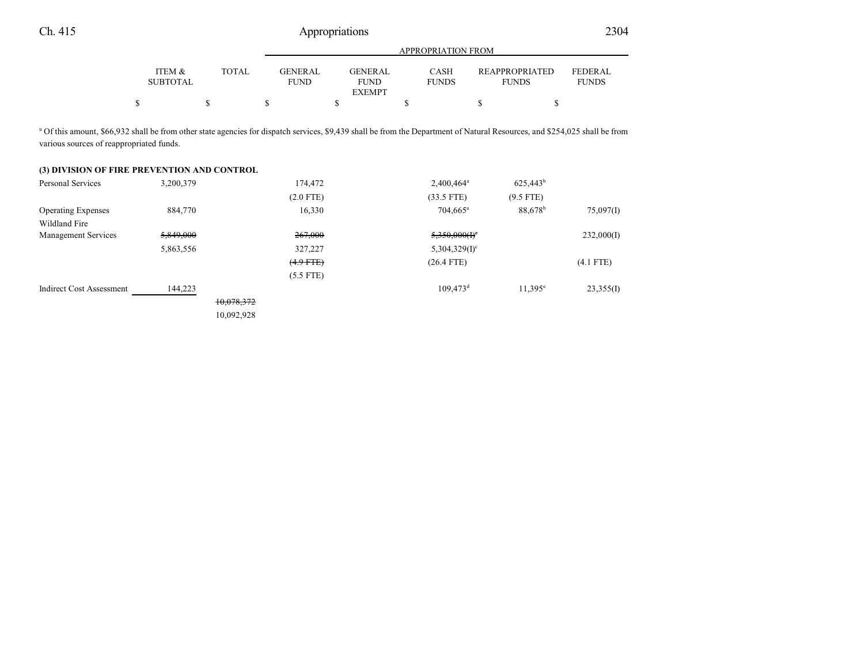| <b>APPROPRIATION FROM</b> |       |                               |                        |                             |                                       |                                |  |
|---------------------------|-------|-------------------------------|------------------------|-----------------------------|---------------------------------------|--------------------------------|--|
| ITEM &<br><b>SUBTOTAL</b> | TOTAL | <b>GENERAL</b><br><b>FUND</b> | GENERAL<br><b>FUND</b> | <b>CASH</b><br><b>FUNDS</b> | <b>REAPPROPRIATED</b><br><b>FUNDS</b> | <b>FEDERAL</b><br><b>FUNDS</b> |  |
|                           |       |                               | <b>EXEMPT</b>          |                             |                                       |                                |  |
|                           |       |                               |                        |                             |                                       |                                |  |

<sup>u</sup> Of this amount, \$66,932 shall be from other state agencies for dispatch services, \$9,439 shall be from the Department of Natural Resources, and \$254,025 shall be from various sources of reappropriated funds.

## **(3) DIVISION OF FIRE PREVENTION AND CONTROL**

| <b>Personal Services</b>        | 3,200,379 |            | 174,472        | 2,400,464 <sup>a</sup>      | $625,443^b$      |             |
|---------------------------------|-----------|------------|----------------|-----------------------------|------------------|-------------|
|                                 |           |            | $(2.0$ FTE)    | $(33.5$ FTE)                | $(9.5$ FTE)      |             |
| <b>Operating Expenses</b>       | 884,770   |            | 16,330         | $704,665^{\rm a}$           | $88,678^{\rm b}$ | 75,097(I)   |
| Wildland Fire                   |           |            |                |                             |                  |             |
| <b>Management Services</b>      | 5,849,000 |            | 267,000        | $5,350,000(f)^c$            |                  | 232,000(I)  |
|                                 | 5,863,556 |            | 327,227        | $5,304,329(1)$ <sup>c</sup> |                  |             |
|                                 |           |            | $(4.9$ FTE $)$ | $(26.4$ FTE)                |                  | $(4.1$ FTE) |
|                                 |           |            | $(5.5$ FTE)    |                             |                  |             |
| <b>Indirect Cost Assessment</b> | 144,223   |            |                | $109,473$ <sup>d</sup>      | $11,395^e$       | 23,355(I)   |
|                                 |           | 10,078,372 |                |                             |                  |             |
|                                 |           | 10,092,928 |                |                             |                  |             |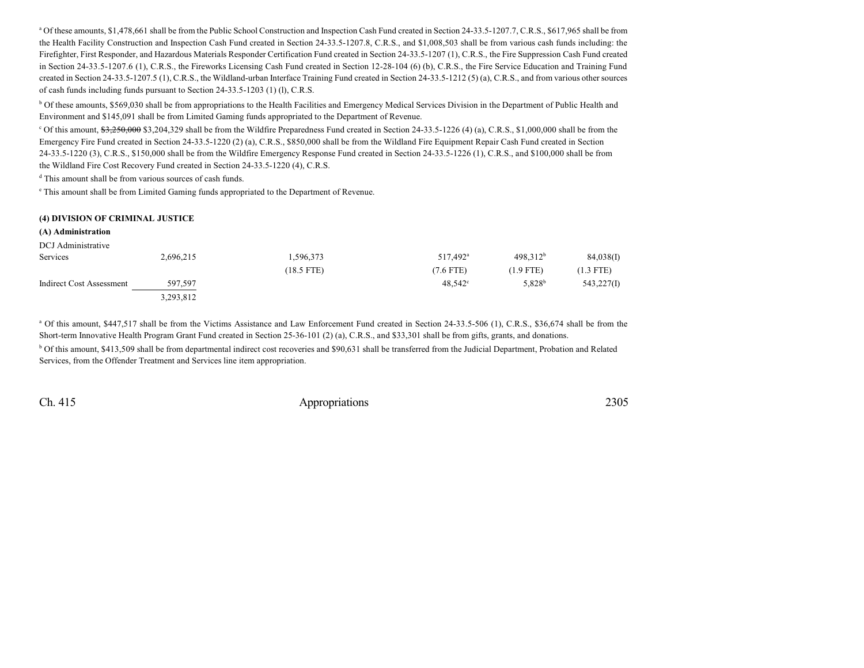<sup>a</sup> Of these amounts, \$1,478,661 shall be from the Public School Construction and Inspection Cash Fund created in Section 24-33.5-1207.7, C.R.S., \$617,965 shall be from the Health Facility Construction and Inspection Cash Fund created in Section 24-33.5-1207.8, C.R.S., and \$1,008,503 shall be from various cash funds including: the Firefighter, First Responder, and Hazardous Materials Responder Certification Fund created in Section 24-33.5-1207 (1), C.R.S., the Fire Suppression Cash Fund created in Section 24-33.5-1207.6 (1), C.R.S., the Fireworks Licensing Cash Fund created in Section 12-28-104 (6) (b), C.R.S., the Fire Service Education and Training Fund created in Section 24-33.5-1207.5 (1), C.R.S., the Wildland-urban Interface Training Fund created in Section 24-33.5-1212 (5) (a), C.R.S., and from various other sources of cash funds including funds pursuant to Section 24-33.5-1203 (1) (l), C.R.S.

<sup>b</sup> Of these amounts, \$569,030 shall be from appropriations to the Health Facilities and Emergency Medical Services Division in the Department of Public Health and Environment and \$145,091 shall be from Limited Gaming funds appropriated to the Department of Revenue.

<sup>c</sup> Of this amount, <del>\$3,250,000</del> \$3,204,329 shall be from the Wildfire Preparedness Fund created in Section 24-33.5-1226 (4) (a), C.R.S., \$1,000,000 shall be from the Emergency Fire Fund created in Section 24-33.5-1220 (2) (a), C.R.S., \$850,000 shall be from the Wildland Fire Equipment Repair Cash Fund created in Section 24-33.5-1220 (3), C.R.S., \$150,000 shall be from the Wildfire Emergency Response Fund created in Section 24-33.5-1226 (1), C.R.S., and \$100,000 shall be from the Wildland Fire Cost Recovery Fund created in Section 24-33.5-1220 (4), C.R.S.

d This amount shall be from various sources of cash funds.

e This amount shall be from Limited Gaming funds appropriated to the Department of Revenue.

### **(4) DIVISION OF CRIMINAL JUSTICE**

**(A) Administration**

| DCJ Administrative       |           |              |                      |                      |             |
|--------------------------|-----------|--------------|----------------------|----------------------|-------------|
| Services                 | 2,696,215 | 1,596,373    | 517,492 <sup>a</sup> | 498.312 <sup>b</sup> | 84,038(I)   |
|                          |           | $(18.5$ FTE) | $(7.6$ FTE)          | $(1.9$ FTE)          | $(1.3$ FTE) |
| Indirect Cost Assessment | 597,597   |              | $48,542^{\circ}$     | 5,828 <sup>b</sup>   | 543,227(I)  |
|                          | 3,293,812 |              |                      |                      |             |

<sup>a</sup> Of this amount, \$447,517 shall be from the Victims Assistance and Law Enforcement Fund created in Section 24-33.5-506 (1), C.R.S., \$36,674 shall be from the Short-term Innovative Health Program Grant Fund created in Section 25-36-101 (2) (a), C.R.S., and \$33,301 shall be from gifts, grants, and donations. <sup>b</sup> Of this amount, \$413,509 shall be from departmental indirect cost recoveries and \$90,631 shall be transferred from the Judicial Department, Probation and Related

Services, from the Offender Treatment and Services line item appropriation.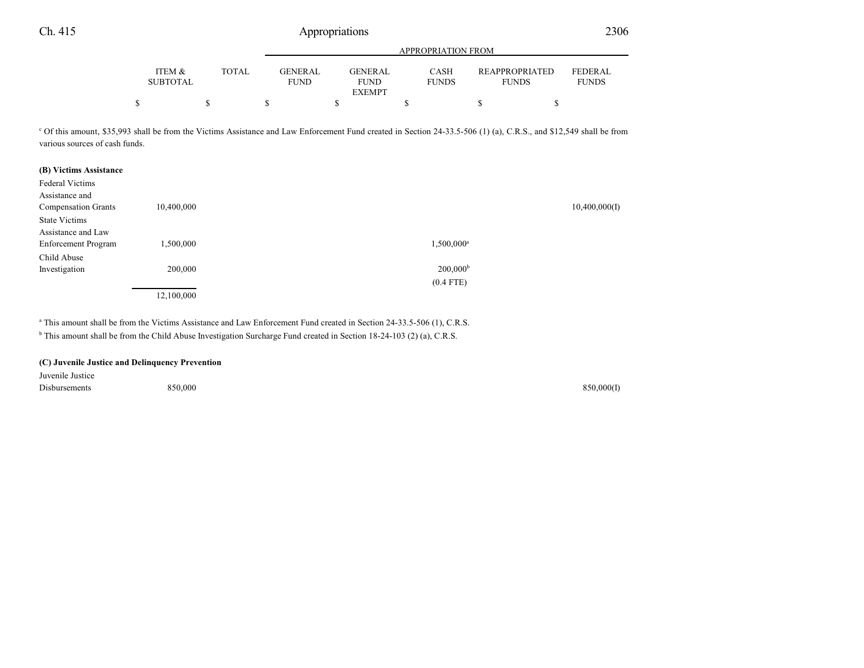|                           |              | APPROPRIATION FROM                                                       |                             |                                       |                                |  |  |  |  |
|---------------------------|--------------|--------------------------------------------------------------------------|-----------------------------|---------------------------------------|--------------------------------|--|--|--|--|
| ITEM &<br><b>SUBTOTAL</b> | <b>TOTAL</b> | GENERAL<br><b>GENERAL</b><br><b>FUND</b><br><b>FUND</b><br><b>EXEMPT</b> | <b>CASH</b><br><b>FUNDS</b> | <b>REAPPROPRIATED</b><br><b>FUNDS</b> | <b>FEDERAL</b><br><b>FUNDS</b> |  |  |  |  |
|                           |              |                                                                          |                             |                                       |                                |  |  |  |  |

<sup>c</sup> Of this amount, \$35,993 shall be from the Victims Assistance and Law Enforcement Fund created in Section 24-33.5-506 (1) (a), C.R.S., and \$12,549 shall be from various sources of cash funds.

| (B) Victims Assistance     |            |                        |
|----------------------------|------------|------------------------|
| <b>Federal Victims</b>     |            |                        |
| Assistance and             |            |                        |
| <b>Compensation Grants</b> | 10,400,000 | 10,400,000(I)          |
| <b>State Victims</b>       |            |                        |
| Assistance and Law         |            |                        |
| Enforcement Program        | 1,500,000  | 1,500,000 <sup>a</sup> |
| Child Abuse                |            |                        |
| Investigation              | 200,000    | $200,000^{\rm b}$      |
|                            |            | $(0.4$ FTE)            |
|                            | 12,100,000 |                        |

a This amount shall be from the Victims Assistance and Law Enforcement Fund created in Section 24-33.5-506 (1), C.R.S.

<sup>b</sup> This amount shall be from the Child Abuse Investigation Surcharge Fund created in Section 18-24-103 (2) (a), C.R.S.

### **(C) Juvenile Justice and Delinquency Prevention**

Juvenile Justice Disbursements 850,000 850,000(I)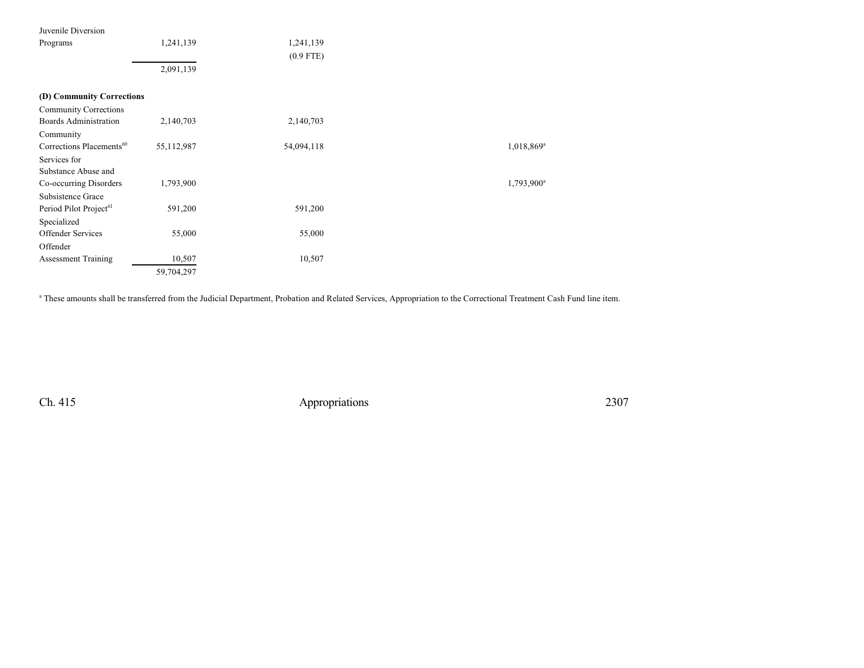| Juvenile Diversion                   |            |             |                        |
|--------------------------------------|------------|-------------|------------------------|
| Programs                             | 1,241,139  | 1,241,139   |                        |
|                                      |            | $(0.9$ FTE) |                        |
|                                      | 2,091,139  |             |                        |
|                                      |            |             |                        |
| (D) Community Corrections            |            |             |                        |
| <b>Community Corrections</b>         |            |             |                        |
| <b>Boards Administration</b>         | 2,140,703  | 2,140,703   |                        |
| Community                            |            |             |                        |
| Corrections Placements <sup>60</sup> | 55,112,987 | 54,094,118  | 1,018,869 <sup>a</sup> |
| Services for                         |            |             |                        |
| Substance Abuse and                  |            |             |                        |
| Co-occurring Disorders               | 1,793,900  |             | 1,793,900 <sup>a</sup> |
| Subsistence Grace                    |            |             |                        |
| Period Pilot Project <sup>61</sup>   | 591,200    | 591,200     |                        |
| Specialized                          |            |             |                        |
| Offender Services                    | 55,000     | 55,000      |                        |
| Offender                             |            |             |                        |
| <b>Assessment Training</b>           | 10,507     | 10,507      |                        |
|                                      | 59,704,297 |             |                        |

a These amounts shall be transferred from the Judicial Department, Probation and Related Services, Appropriation to the Correctional Treatment Cash Fund line item.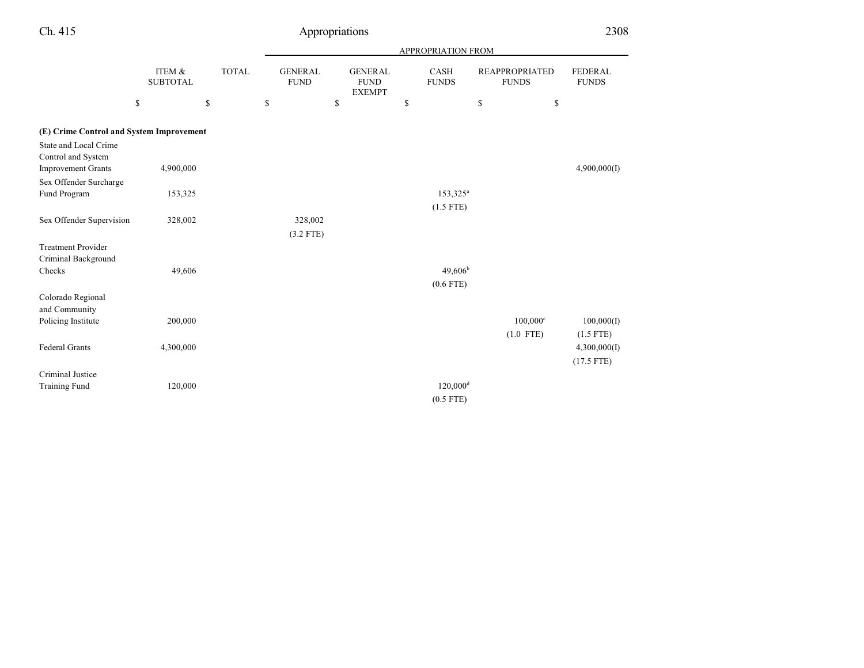|                                          |                           |              |                               |                               | APPROPRIATION FROM     |                                       |                         |
|------------------------------------------|---------------------------|--------------|-------------------------------|-------------------------------|------------------------|---------------------------------------|-------------------------|
|                                          | ITEM &<br><b>SUBTOTAL</b> | <b>TOTAL</b> | <b>GENERAL</b><br><b>FUND</b> | <b>GENERAL</b><br><b>FUND</b> | CASH<br><b>FUNDS</b>   | <b>REAPPROPRIATED</b><br><b>FUNDS</b> | FEDERAL<br><b>FUNDS</b> |
|                                          | \$                        | \$           | \$                            | \$<br><b>EXEMPT</b>           | \$                     | \$<br>\$                              |                         |
| (E) Crime Control and System Improvement |                           |              |                               |                               |                        |                                       |                         |
| <b>State and Local Crime</b>             |                           |              |                               |                               |                        |                                       |                         |
| Control and System                       |                           |              |                               |                               |                        |                                       |                         |
| <b>Improvement Grants</b>                | 4,900,000                 |              |                               |                               |                        |                                       | 4,900,000(I)            |
| Sex Offender Surcharge                   |                           |              |                               |                               |                        |                                       |                         |
| <b>Fund Program</b>                      | 153,325                   |              |                               |                               | 153,325 <sup>a</sup>   |                                       |                         |
|                                          |                           |              |                               |                               | $(1.5$ FTE)            |                                       |                         |
| Sex Offender Supervision                 | 328,002                   |              | 328,002                       |                               |                        |                                       |                         |
|                                          |                           |              | $(3.2$ FTE)                   |                               |                        |                                       |                         |
| <b>Treatment Provider</b>                |                           |              |                               |                               |                        |                                       |                         |
| Criminal Background                      |                           |              |                               |                               |                        |                                       |                         |
| Checks                                   | 49,606                    |              |                               |                               | $49,606^{\rm b}$       |                                       |                         |
|                                          |                           |              |                               |                               | $(0.6$ FTE)            |                                       |                         |
| Colorado Regional                        |                           |              |                               |                               |                        |                                       |                         |
| and Community                            |                           |              |                               |                               |                        |                                       |                         |
| Policing Institute                       | 200,000                   |              |                               |                               |                        | $100,000^{\circ}$                     | 100,000(I)              |
|                                          |                           |              |                               |                               |                        | $(1.0$ FTE)                           | $(1.5$ FTE)             |
| <b>Federal Grants</b>                    | 4,300,000                 |              |                               |                               |                        |                                       | 4,300,000(I)            |
|                                          |                           |              |                               |                               |                        |                                       | $(17.5$ FTE)            |
| Criminal Justice                         |                           |              |                               |                               |                        |                                       |                         |
| <b>Training Fund</b>                     | 120,000                   |              |                               |                               | $120,000$ <sup>d</sup> |                                       |                         |
|                                          |                           |              |                               |                               | $(0.5$ FTE)            |                                       |                         |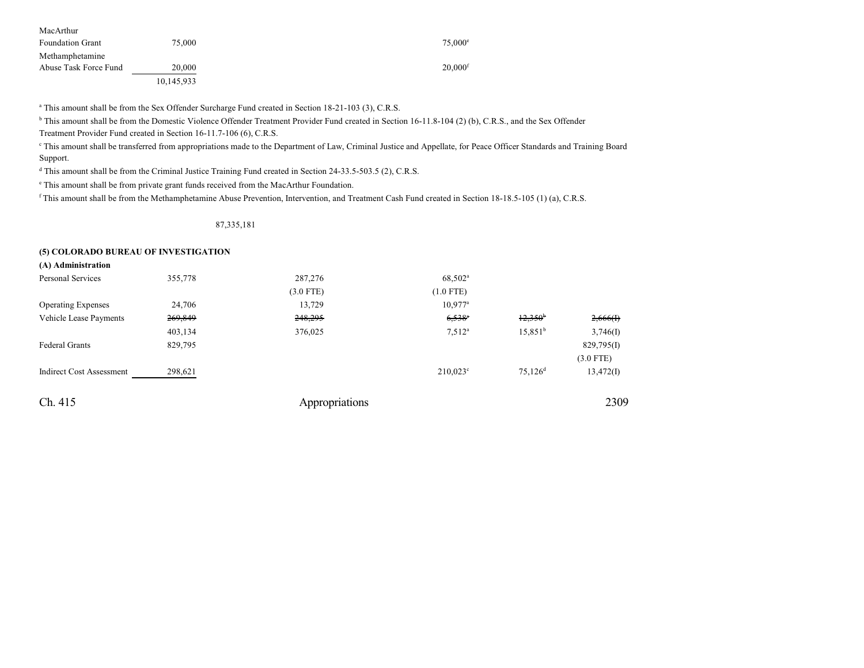| MacArthur               |            |                       |
|-------------------------|------------|-----------------------|
| <b>Foundation Grant</b> | 75,000     | $75.000^{\circ}$      |
| Methamphetamine         |            |                       |
| Abuse Task Force Fund   | 20,000     | $20.000$ <sup>f</sup> |
|                         | 10,145,933 |                       |

a This amount shall be from the Sex Offender Surcharge Fund created in Section 18-21-103 (3), C.R.S.

<sup>b</sup> This amount shall be from the Domestic Violence Offender Treatment Provider Fund created in Section 16-11.8-104 (2) (b), C.R.S., and the Sex Offender Treatment Provider Fund created in Section 16-11.7-106 (6), C.R.S.

c This amount shall be transferred from appropriations made to the Department of Law, Criminal Justice and Appellate, for Peace Officer Standards and Training Board Support.

<sup>d</sup> This amount shall be from the Criminal Justice Training Fund created in Section 24-33.5-503.5 (2), C.R.S.

e This amount shall be from private grant funds received from the MacArthur Foundation.

f This amount shall be from the Methamphetamine Abuse Prevention, Intervention, and Treatment Cash Fund created in Section 18-18.5-105 (1) (a), C.R.S.

87,335,181

#### **(5) COLORADO BUREAU OF INVESTIGATION**

| (A) Administration              |         |                |                      |                       |             |
|---------------------------------|---------|----------------|----------------------|-----------------------|-------------|
| <b>Personal Services</b>        | 355,778 | 287,276        | 68,502 <sup>a</sup>  |                       |             |
|                                 |         | $(3.0$ FTE)    | $(1.0$ FTE)          |                       |             |
| <b>Operating Expenses</b>       | 24,706  | 13,729         | $10,977^{\rm a}$     |                       |             |
| Vehicle Lease Payments          | 269,849 | 248,295        | $6,538$ <sup>a</sup> | 12,350 <sup>b</sup>   | 2,666(f)    |
|                                 | 403,134 | 376,025        | 7.512 <sup>a</sup>   | 15.851 <sup>b</sup>   | 3,746(I)    |
| <b>Federal Grants</b>           | 829,795 |                |                      |                       | 829,795(I)  |
|                                 |         |                |                      |                       | $(3.0$ FTE) |
| <b>Indirect Cost Assessment</b> | 298,621 |                | $210,023^{\circ}$    | $75,126$ <sup>d</sup> | 13,472(I)   |
| Ch. 415                         |         | Appropriations |                      |                       | 2309        |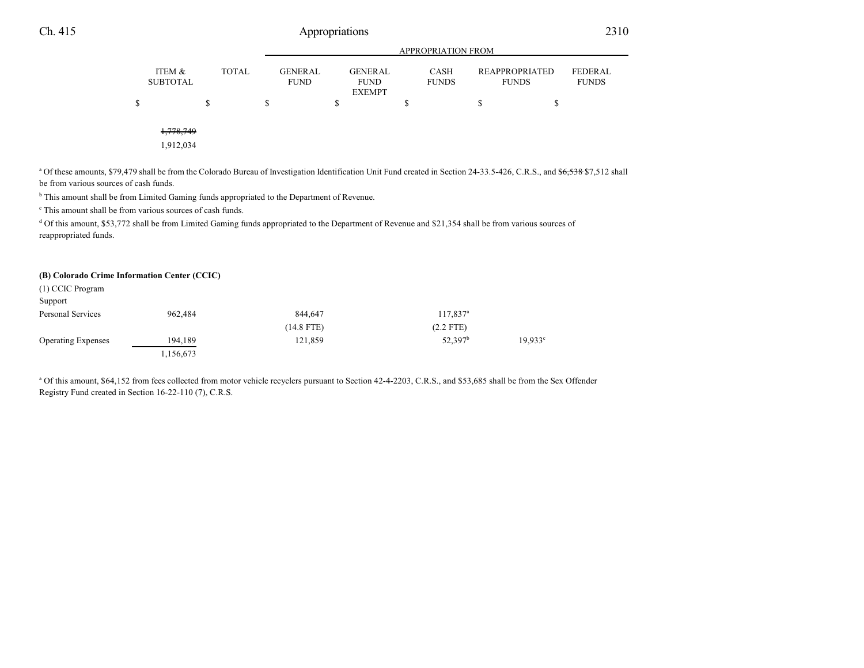|                           |   |              |   | <b>APPROPRIATION FROM</b>     |    |                                                |    |                             |    |                                       |                                |
|---------------------------|---|--------------|---|-------------------------------|----|------------------------------------------------|----|-----------------------------|----|---------------------------------------|--------------------------------|
| ITEM &<br><b>SUBTOTAL</b> |   | <b>TOTAL</b> |   | <b>GENERAL</b><br><b>FUND</b> |    | <b>GENERAL</b><br><b>FUND</b><br><b>EXEMPT</b> |    | <b>CASH</b><br><b>FUNDS</b> |    | <b>REAPPROPRIATED</b><br><b>FUNDS</b> | <b>FEDERAL</b><br><b>FUNDS</b> |
| \$                        | S |              | S |                               | \$ |                                                | \$ |                             | \$ | \$                                    |                                |
|                           |   |              |   |                               |    |                                                |    |                             |    |                                       |                                |
| 1,778,749<br>1,912,034    |   |              |   |                               |    |                                                |    |                             |    |                                       |                                |

a Of these amounts, \$79,479 shall be from the Colorado Bureau of Investigation Identification Unit Fund created in Section 24-33.5-426, C.R.S., and \$6,538 \$7,512 shall be from various sources of cash funds.

<sup>b</sup> This amount shall be from Limited Gaming funds appropriated to the Department of Revenue.

c This amount shall be from various sources of cash funds.

<sup>d</sup> Of this amount, \$53,772 shall be from Limited Gaming funds appropriated to the Department of Revenue and \$21,354 shall be from various sources of reappropriated funds.

#### **(B) Colorado Crime Information Center (CCIC)**

| (1) CCIC Program          |           |              |                        |                  |
|---------------------------|-----------|--------------|------------------------|------------------|
| Support                   |           |              |                        |                  |
| Personal Services         | 962.484   | 844.647      | $117,837$ <sup>a</sup> |                  |
|                           |           | $(14.8$ FTE) | $(2.2$ FTE)            |                  |
| <b>Operating Expenses</b> | 194.189   | 121.859      | 52,397 <sup>b</sup>    | $19.933^{\circ}$ |
|                           | 1,156,673 |              |                        |                  |

<sup>a</sup> Of this amount, \$64,152 from fees collected from motor vehicle recyclers pursuant to Section 42-4-2203, C.R.S., and \$53,685 shall be from the Sex Offender Registry Fund created in Section 16-22-110 (7), C.R.S.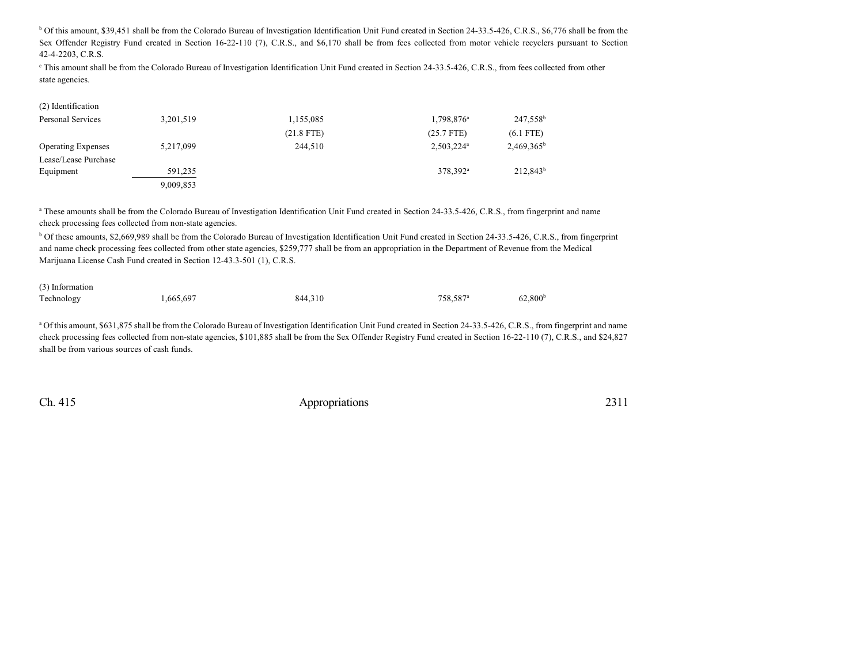<sup>b</sup> Of this amount, \$39,451 shall be from the Colorado Bureau of Investigation Identification Unit Fund created in Section 24-33.5-426, C.R.S., \$6,776 shall be from the Sex Offender Registry Fund created in Section 16-22-110 (7), C.R.S., and \$6,170 shall be from fees collected from motor vehicle recyclers pursuant to Section 42-4-2203, C.R.S.

c This amount shall be from the Colorado Bureau of Investigation Identification Unit Fund created in Section 24-33.5-426, C.R.S., from fees collected from other state agencies.

| (2) Identification        |           |              |                          |                      |
|---------------------------|-----------|--------------|--------------------------|----------------------|
| Personal Services         | 3,201,519 | 1,155,085    | $1,798,876^{\circ}$      | 247,558 <sup>b</sup> |
|                           |           | $(21.8$ FTE) | $(25.7$ FTE)             | $(6.1$ FTE)          |
| <b>Operating Expenses</b> | 5,217,099 | 244,510      | $2,503,224$ <sup>a</sup> | $2,469,365^b$        |
| Lease/Lease Purchase      |           |              |                          |                      |
| Equipment                 | 591.235   |              | 378,392 <sup>a</sup>     | $212,843^b$          |
|                           | 9,009,853 |              |                          |                      |

<sup>a</sup> These amounts shall be from the Colorado Bureau of Investigation Identification Unit Fund created in Section 24-33.5-426, C.R.S., from fingerprint and name check processing fees collected from non-state agencies.

<sup>b</sup> Of these amounts, \$2,669,989 shall be from the Colorado Bureau of Investigation Identification Unit Fund created in Section 24-33.5-426, C.R.S., from fingerprint and name check processing fees collected from other state agencies, \$259,777 shall be from an appropriation in the Department of Revenue from the Medical Marijuana License Cash Fund created in Section 12-43.3-501 (1), C.R.S.

| (3) Information |           |         |                      |                     |
|-----------------|-----------|---------|----------------------|---------------------|
| Technology      | 1,665,697 | 844,310 | 758.587 <sup>a</sup> | 62,800 <sup>b</sup> |

<sup>a</sup> Of this amount, \$631,875 shall be from the Colorado Bureau of Investigation Identification Unit Fund created in Section 24-33.5-426, C.R.S., from fingerprint and name check processing fees collected from non-state agencies, \$101,885 shall be from the Sex Offender Registry Fund created in Section 16-22-110 (7), C.R.S., and \$24,827 shall be from various sources of cash funds.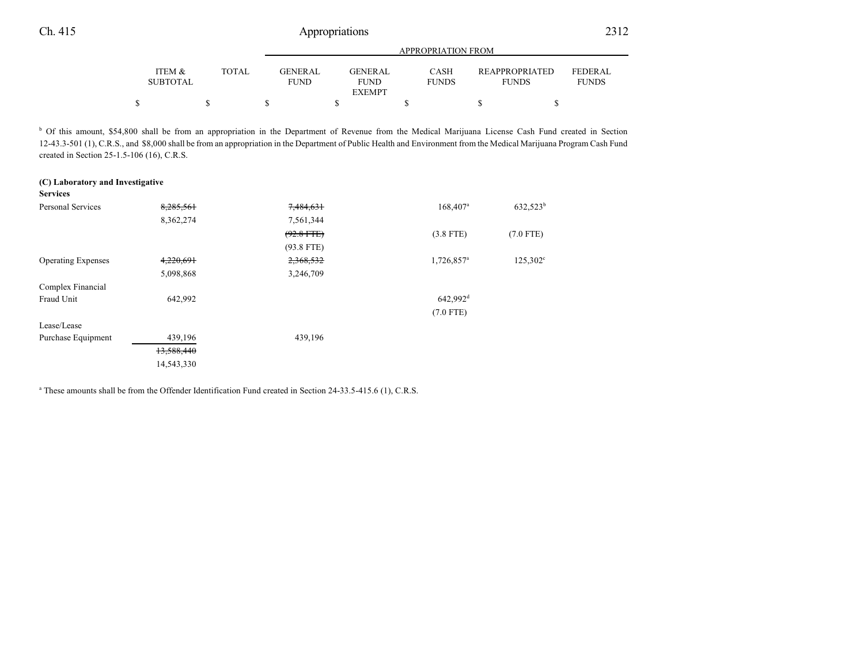|                           |       |                               | <b>APPROPRIATION FROM</b> |                             |                                       |                                |  |  |  |  |
|---------------------------|-------|-------------------------------|---------------------------|-----------------------------|---------------------------------------|--------------------------------|--|--|--|--|
| ITEM &<br><b>SUBTOTAL</b> | TOTAL | <b>GENERAL</b><br><b>FUND</b> | GENERAL<br><b>FUND</b>    | <b>CASH</b><br><b>FUNDS</b> | <b>REAPPROPRIATED</b><br><b>FUNDS</b> | <b>FEDERAL</b><br><b>FUNDS</b> |  |  |  |  |
|                           |       |                               | <b>EXEMPT</b>             |                             |                                       |                                |  |  |  |  |
|                           |       |                               |                           |                             |                                       |                                |  |  |  |  |

<sup>b</sup> Of this amount, \$54,800 shall be from an appropriation in the Department of Revenue from the Medical Marijuana License Cash Fund created in Section 12-43.3-501 (1), C.R.S., and \$8,000 shall be from an appropriation in the Department of Public Health and Environment from the Medical Marijuana Program Cash Fund created in Section 25-1.5-106 (16), C.R.S.

| (C) Laboratory and Investigative |            |              |                        |                   |
|----------------------------------|------------|--------------|------------------------|-------------------|
| <b>Services</b>                  |            |              |                        |                   |
| <b>Personal Services</b>         | 8,285,561  | 7,484,631    | $168,407^{\rm a}$      | $632,523^b$       |
|                                  | 8,362,274  | 7,561,344    |                        |                   |
|                                  |            | $(92.8$ FTE) | $(3.8$ FTE)            | $(7.0$ FTE)       |
|                                  |            | $(93.8$ FTE) |                        |                   |
| <b>Operating Expenses</b>        | 4,220,691  | 2,368,532    | 1,726,857 <sup>a</sup> | $125,302^{\circ}$ |
|                                  | 5,098,868  | 3,246,709    |                        |                   |
| Complex Financial                |            |              |                        |                   |
| Fraud Unit                       | 642,992    |              | 642,992 <sup>d</sup>   |                   |
|                                  |            |              | $(7.0$ FTE)            |                   |
| Lease/Lease                      |            |              |                        |                   |
| Purchase Equipment               | 439,196    | 439,196      |                        |                   |
|                                  | 13,588,440 |              |                        |                   |
|                                  | 14,543,330 |              |                        |                   |

a These amounts shall be from the Offender Identification Fund created in Section 24-33.5-415.6 (1), C.R.S.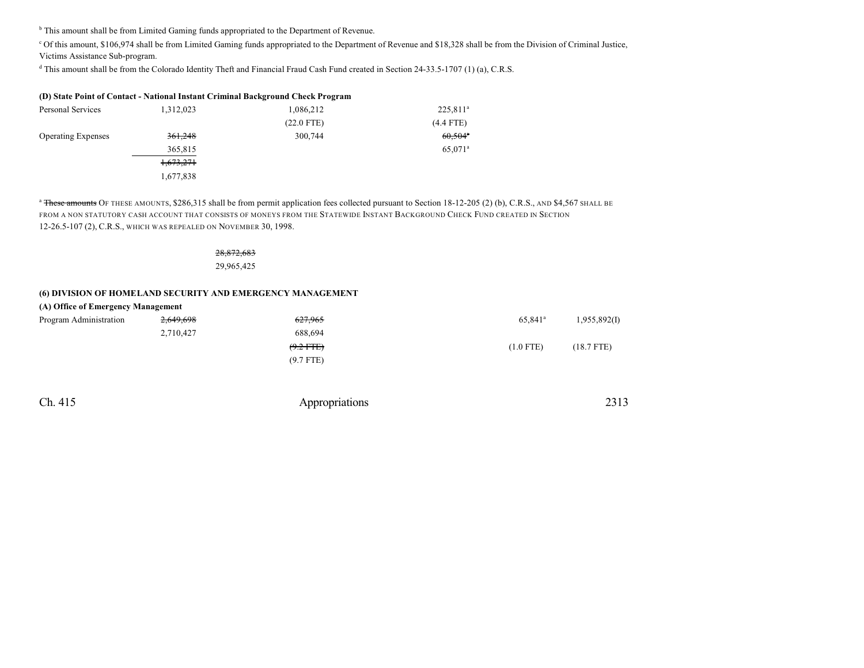<sup>b</sup> This amount shall be from Limited Gaming funds appropriated to the Department of Revenue.

<sup>c</sup> Of this amount, \$106,974 shall be from Limited Gaming funds appropriated to the Department of Revenue and \$18,328 shall be from the Division of Criminal Justice, Victims Assistance Sub-program.

d This amount shall be from the Colorado Identity Theft and Financial Fraud Cash Fund created in Section 24-33.5-1707 (1) (a), C.R.S.

| (D) State Point of Contact - National Instant Criminal Background Check Program |           |              |                       |  |  |  |  |
|---------------------------------------------------------------------------------|-----------|--------------|-----------------------|--|--|--|--|
| Personal Services                                                               | 1.312.023 | 1,086,212    | $225,811^a$           |  |  |  |  |
|                                                                                 |           | $(22.0$ FTE) | $(4.4$ FTE)           |  |  |  |  |
| <b>Operating Expenses</b>                                                       | 361,248   | 300,744      | $60,504$ <sup>*</sup> |  |  |  |  |
|                                                                                 | 365,815   |              | 65.071 <sup>a</sup>   |  |  |  |  |
|                                                                                 | 1,673,271 |              |                       |  |  |  |  |
|                                                                                 | 1,677,838 |              |                       |  |  |  |  |

<sup>a</sup> These amounts OF THESE AMOUNTS, \$286,315 shall be from permit application fees collected pursuant to Section 18-12-205 (2) (b), C.R.S., AND \$4,567 SHALL BE FROM A NON STATUTORY CASH ACCOUNT THAT CONSISTS OF MONEYS FROM THE STATEWIDE INSTANT BACKGROUND CHECK FUND CREATED IN SECTION 12-26.5-107 (2), C.R.S., WHICH WAS REPEALED ON NOVEMBER 30, 1998.

## 28,872,683

29,965,425

## **(6) DIVISION OF HOMELAND SECURITY AND EMERGENCY MANAGEMENT**

### **(A) Office of Emergency Management**

| Program Administration | 2,649,698 | 627.965     | 65.841 <sup>a</sup> | 1,955,892(I) |
|------------------------|-----------|-------------|---------------------|--------------|
|                        | 2,710,427 | 688.694     |                     |              |
|                        |           | $(9.2$ FTE) | $(1.0$ FTE)         | $(18.7$ FTE) |
|                        |           | $(9.7$ FTE) |                     |              |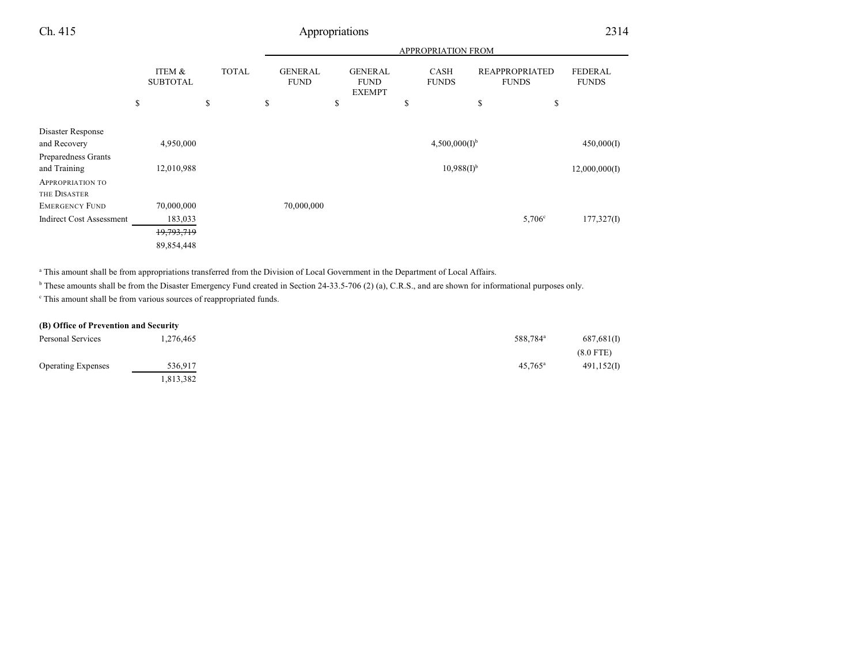|                                                          |                           |              | <b>APPROPRIATION FROM</b>     |    |                                                |                             |                                       |                                |
|----------------------------------------------------------|---------------------------|--------------|-------------------------------|----|------------------------------------------------|-----------------------------|---------------------------------------|--------------------------------|
|                                                          | ITEM &<br><b>SUBTOTAL</b> | <b>TOTAL</b> | <b>GENERAL</b><br><b>FUND</b> |    | <b>GENERAL</b><br><b>FUND</b><br><b>EXEMPT</b> | <b>CASH</b><br><b>FUNDS</b> | <b>REAPPROPRIATED</b><br><b>FUNDS</b> | <b>FEDERAL</b><br><b>FUNDS</b> |
|                                                          | \$                        | \$           | \$                            | \$ | \$                                             |                             | \$<br>\$                              |                                |
| Disaster Response<br>and Recovery                        | 4,950,000                 |              |                               |    |                                                | $4,500,000(I)^{b}$          |                                       | 450,000(I)                     |
| Preparedness Grants<br>and Training                      | 12,010,988                |              |                               |    |                                                | $10,988(1)$ <sup>b</sup>    |                                       | 12,000,000(I)                  |
| <b>APPROPRIATION TO</b><br>THE DISASTER                  |                           |              |                               |    |                                                |                             |                                       |                                |
| <b>EMERGENCY FUND</b><br><b>Indirect Cost Assessment</b> | 70,000,000<br>183,033     |              | 70,000,000                    |    |                                                |                             | $5,706^{\circ}$                       |                                |
|                                                          | 19,793,719<br>89,854,448  |              |                               |    |                                                |                             |                                       | 177,327(I)                     |

a This amount shall be from appropriations transferred from the Division of Local Government in the Department of Local Affairs.

<sup>b</sup> These amounts shall be from the Disaster Emergency Fund created in Section 24-33.5-706 (2) (a), C.R.S., and are shown for informational purposes only.

c This amount shall be from various sources of reappropriated funds.

## **(B) Office of Prevention and Security**

| Personal Services         | 1,276,465 | 588,784 <sup>a</sup> | 687,681(I)  |
|---------------------------|-----------|----------------------|-------------|
|                           |           |                      | $(8.0$ FTE) |
| <b>Operating Expenses</b> | 536,917   | $45,765^{\circ}$     | 491,152(I)  |
|                           | 1,813,382 |                      |             |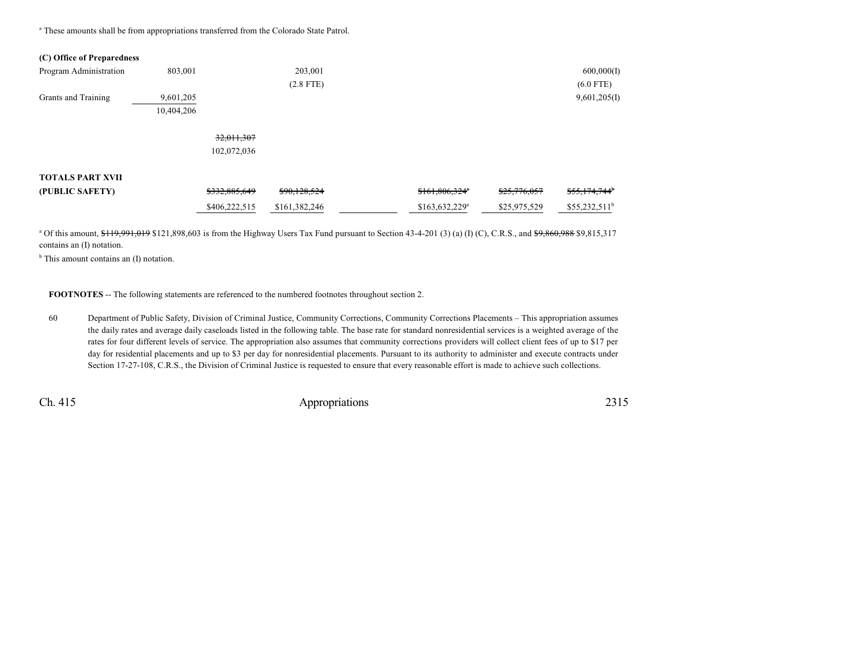<sup>a</sup> These amounts shall be from appropriations transferred from the Colorado State Patrol.

### **(C) Office of Preparedness**

| Program Administration  | 803,001    |               | 203,001       |                  |              | 600,000(1)                |
|-------------------------|------------|---------------|---------------|------------------|--------------|---------------------------|
|                         |            |               | $(2.8$ FTE)   |                  |              | $(6.0$ FTE)               |
| Grants and Training     | 9,601,205  |               |               |                  |              | 9,601,205(I)              |
|                         | 10,404,206 |               |               |                  |              |                           |
|                         |            | 32,011,307    |               |                  |              |                           |
|                         |            |               |               |                  |              |                           |
|                         |            | 102,072,036   |               |                  |              |                           |
| <b>TOTALS PART XVII</b> |            |               |               |                  |              |                           |
| (PUBLIC SAFETY)         |            | \$332,885,649 | \$90,128,524  | \$161,806,324"   | \$25,776,057 | \$55,174,744 <sup>b</sup> |
|                         |            | \$406,222,515 | \$161,382,246 | $$163,632,229^a$ | \$25,975,529 | $$55,232,511^b$           |

 $a$  Of this amount,  $f_1$ ,  $g_2$ ,  $g_3$ ,  $g_4$ ,  $g_5$ ,  $g_6$ ,  $g_7$  is from the Highway Users Tax Fund pursuant to Section 43-4-201 (3) (a) (I) (C), C.R.S., and  $f_2$ ,  $g_3$ ,  $g_4$ ,  $g_5$ ,  $g_6$ ,  $g_7$ ,  $g_7$ ,  $g_8$ contains an (I) notation.

<sup>b</sup> This amount contains an (I) notation.

**FOOTNOTES** -- The following statements are referenced to the numbered footnotes throughout section 2.

60 Department of Public Safety, Division of Criminal Justice, Community Corrections, Community Corrections Placements – This appropriation assumes the daily rates and average daily caseloads listed in the following table. The base rate for standard nonresidential services is a weighted average of the rates for four different levels of service. The appropriation also assumes that community corrections providers will collect client fees of up to \$17 per day for residential placements and up to \$3 per day for nonresidential placements. Pursuant to its authority to administer and execute contracts under Section 17-27-108, C.R.S., the Division of Criminal Justice is requested to ensure that every reasonable effort is made to achieve such collections.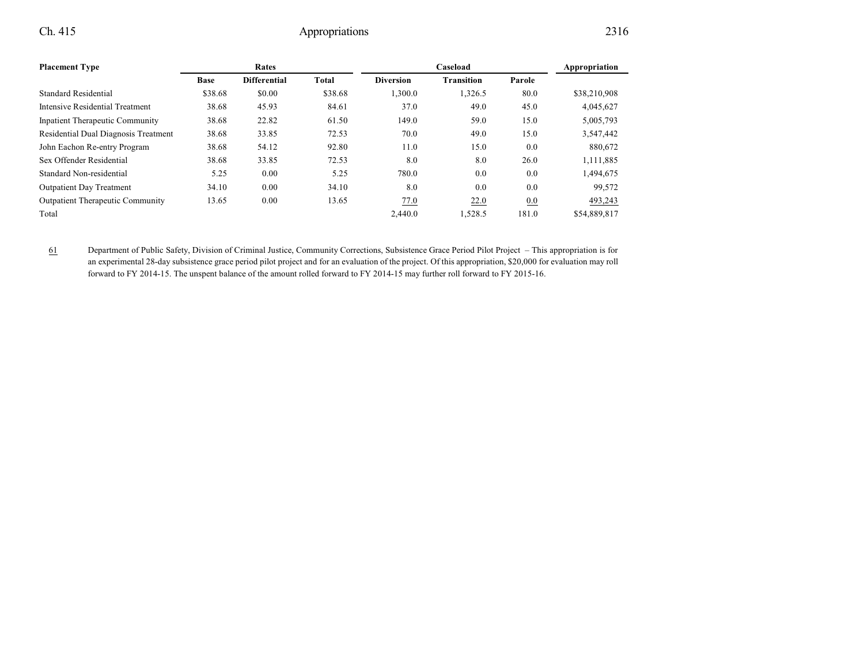| <b>Placement Type</b>                   | Rates       |                     |         |                  | Appropriation     |        |              |
|-----------------------------------------|-------------|---------------------|---------|------------------|-------------------|--------|--------------|
|                                         | <b>Base</b> | <b>Differential</b> | Total   | <b>Diversion</b> | <b>Transition</b> | Parole |              |
| Standard Residential                    | \$38.68     | \$0.00              | \$38.68 | 1,300.0          | 1,326.5           | 80.0   | \$38,210,908 |
| Intensive Residential Treatment         | 38.68       | 45.93               | 84.61   | 37.0             | 49.0              | 45.0   | 4,045,627    |
| <b>Inpatient Therapeutic Community</b>  | 38.68       | 22.82               | 61.50   | 149.0            | 59.0              | 15.0   | 5,005,793    |
| Residential Dual Diagnosis Treatment    | 38.68       | 33.85               | 72.53   | 70.0             | 49.0              | 15.0   | 3,547,442    |
| John Eachon Re-entry Program            | 38.68       | 54.12               | 92.80   | 11.0             | 15.0              | 0.0    | 880,672      |
| Sex Offender Residential                | 38.68       | 33.85               | 72.53   | 8.0              | 8.0               | 26.0   | 1,111,885    |
| Standard Non-residential                | 5.25        | 0.00                | 5.25    | 780.0            | 0.0               | 0.0    | 1,494,675    |
| <b>Outpatient Day Treatment</b>         | 34.10       | 0.00                | 34.10   | 8.0              | 0.0               | 0.0    | 99,572       |
| <b>Outpatient Therapeutic Community</b> | 13.65       | 0.00                | 13.65   | 77.0             | 22.0              | 0.0    | 493,243      |
| Total                                   |             |                     |         | 2,440.0          | 1,528.5           | 181.0  | \$54,889,817 |

61 Department of Public Safety, Division of Criminal Justice, Community Corrections, Subsistence Grace Period Pilot Project – This appropriation is for an experimental 28-day subsistence grace period pilot project and for an evaluation of the project. Of this appropriation, \$20,000 for evaluation may roll forward to FY 2014-15. The unspent balance of the amount rolled forward to FY 2014-15 may further roll forward to FY 2015-16.